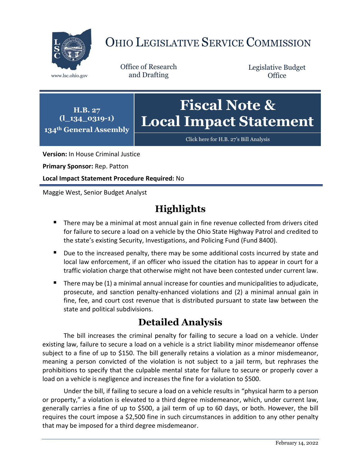

# OHIO LEGISLATIVE SERVICE COMMISSION

www.lsc.ohio.gov and Drafting

Office of Research

Legislative Budget **Office** 

**(l\_134\_0319-1) 134th General Assembly Fiscal Note & Local Impact Statement**

[Click here for H.B. 27](https://www.legislature.ohio.gov/legislation/legislation-documents?id=GA134-HB-27)'s Bill Analysis

**Version:** In House Criminal Justice

**Primary Sponsor:** Rep. Patton

**H.B. 27**

**Local Impact Statement Procedure Required:** No

Maggie West, Senior Budget Analyst

# **Highlights**

- **There may be a minimal at most annual gain in fine revenue collected from drivers cited** for failure to secure a load on a vehicle by the Ohio State Highway Patrol and credited to the state's existing Security, Investigations, and Policing Fund (Fund 8400).
- Due to the increased penalty, there may be some additional costs incurred by state and local law enforcement, if an officer who issued the citation has to appear in court for a traffic violation charge that otherwise might not have been contested under current law.
- There may be  $(1)$  a minimal annual increase for counties and municipalities to adjudicate, prosecute, and sanction penalty-enhanced violations and (2) a minimal annual gain in fine, fee, and court cost revenue that is distributed pursuant to state law between the state and political subdivisions.

# **Detailed Analysis**

The bill increases the criminal penalty for failing to secure a load on a vehicle. Under existing law, failure to secure a load on a vehicle is a strict liability minor misdemeanor offense subject to a fine of up to \$150. The bill generally retains a violation as a minor misdemeanor, meaning a person convicted of the violation is not subject to a jail term, but rephrases the prohibitions to specify that the culpable mental state for failure to secure or properly cover a load on a vehicle is negligence and increases the fine for a violation to \$500.

Under the bill, if failing to secure a load on a vehicle results in "physical harm to a person or property," a violation is elevated to a third degree misdemeanor, which, under current law, generally carries a fine of up to \$500, a jail term of up to 60 days, or both. However, the bill requires the court impose a \$2,500 fine in such circumstances in addition to any other penalty that may be imposed for a third degree misdemeanor.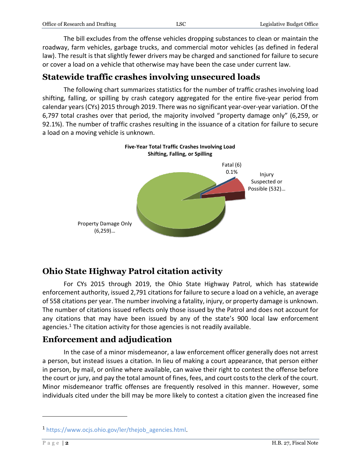| Office of Research and Drafting | LSC | Legislative Budget Office |
|---------------------------------|-----|---------------------------|
|                                 |     |                           |

The bill excludes from the offense vehicles dropping substances to clean or maintain the roadway, farm vehicles, garbage trucks, and commercial motor vehicles (as defined in federal law). The result is that slightly fewer drivers may be charged and sanctioned for failure to secure or cover a load on a vehicle that otherwise may have been the case under current law.

### **Statewide traffic crashes involving unsecured loads**

The following chart summarizes statistics for the number of traffic crashes involving load shifting, falling, or spilling by crash category aggregated for the entire five-year period from calendar years(CYs) 2015 through 2019. There was no significant year-over-year variation. Of the 6,797 total crashes over that period, the majority involved "property damage only" (6,259, or 92.1%). The number of traffic crashes resulting in the issuance of a citation for failure to secure a load on a moving vehicle is unknown.



## **Ohio State Highway Patrol citation activity**

For CYs 2015 through 2019, the Ohio State Highway Patrol, which has statewide enforcement authority, issued 2,791 citations for failure to secure a load on a vehicle, an average of 558 citations per year. The number involving a fatality, injury, or property damage is unknown. The number of citations issued reflects only those issued by the Patrol and does not account for any citations that may have been issued by any of the state's 900 local law enforcement agencies. <sup>1</sup> The citation activity for those agencies is not readily available.

## **Enforcement and adjudication**

In the case of a minor misdemeanor, a law enforcement officer generally does not arrest a person, but instead issues a citation. In lieu of making a court appearance, that person either in person, by mail, or online where available, can waive their right to contest the offense before the court or jury, and pay the total amount of fines, fees, and court costs to the clerk of the court. Minor misdemeanor traffic offenses are frequently resolved in this manner. However, some individuals cited under the bill may be more likely to contest a citation given the increased fine

 $\overline{a}$ 

<sup>1</sup> [https://www.ocjs.ohio.gov/ler/thejob\\_agencies.html.](https://www.ocjs.ohio.gov/ler/thejob_agencies.html)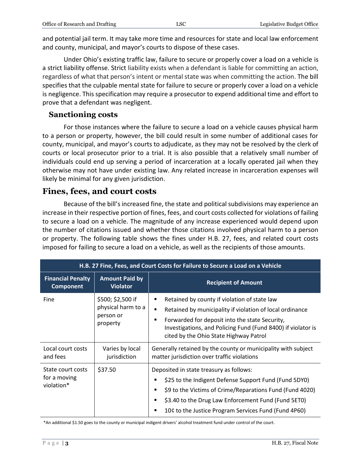and potential jail term. It may take more time and resources for state and local law enforcement and county, municipal, and mayor's courts to dispose of these cases.

Under Ohio's existing traffic law, failure to secure or properly cover a load on a vehicle is a strict liability offense. Strict liability exists when a defendant is liable for committing an action, regardless of what that person's intent or mental state was when committing the action. The bill specifies that the culpable mental state for failure to secure or properly cover a load on a vehicle is negligence. This specification may require a prosecutor to expend additional time and effort to prove that a defendant was negligent.

#### **Sanctioning costs**

For those instances where the failure to secure a load on a vehicle causes physical harm to a person or property, however, the bill could result in some number of additional cases for county, municipal, and mayor's courts to adjudicate, as they may not be resolved by the clerk of courts or local prosecutor prior to a trial. It is also possible that a relatively small number of individuals could end up serving a period of incarceration at a locally operated jail when they otherwise may not have under existing law. Any related increase in incarceration expenses will likely be minimal for any given jurisdiction.

#### **Fines, fees, and court costs**

Because of the bill's increased fine, the state and political subdivisions may experience an increase in their respective portion of fines, fees, and court costs collected for violations of failing to secure a load on a vehicle. The magnitude of any increase experienced would depend upon the number of citations issued and whether those citations involved physical harm to a person or property. The following table shows the fines under H.B. 27, fees, and related court costs imposed for failing to secure a load on a vehicle, as well as the recipients of those amounts.

| H.B. 27 Fine, Fees, and Court Costs for Failure to Secure a Load on a Vehicle |                                                                  |                                                                                                                                                                                                                                                                                                                      |  |
|-------------------------------------------------------------------------------|------------------------------------------------------------------|----------------------------------------------------------------------------------------------------------------------------------------------------------------------------------------------------------------------------------------------------------------------------------------------------------------------|--|
| <b>Financial Penalty</b><br><b>Component</b>                                  | <b>Amount Paid by</b><br><b>Violator</b>                         | <b>Recipient of Amount</b>                                                                                                                                                                                                                                                                                           |  |
| <b>Fine</b>                                                                   | \$500; \$2,500 if<br>physical harm to a<br>person or<br>property | Retained by county if violation of state law<br>Retained by municipality if violation of local ordinance<br>$\blacksquare$<br>Forwarded for deposit into the state Security,<br>$\blacksquare$<br>Investigations, and Policing Fund (Fund 8400) if violator is<br>cited by the Ohio State Highway Patrol             |  |
| Local court costs<br>and fees                                                 | Varies by local<br>jurisdiction                                  | Generally retained by the county or municipality with subject<br>matter jurisdiction over traffic violations                                                                                                                                                                                                         |  |
| State court costs<br>for a moving<br>violation*                               | \$37.50                                                          | Deposited in state treasury as follows:<br>\$25 to the Indigent Defense Support Fund (Fund 5DY0)<br>$\blacksquare$<br>\$9 to the Victims of Crime/Reparations Fund (Fund 4020)<br>٠<br>\$3.40 to the Drug Law Enforcement Fund (Fund 5ETO)<br>$\blacksquare$<br>10¢ to the Justice Program Services Fund (Fund 4P60) |  |

\*An additional \$1.50 goes to the county or municipal indigent drivers' alcohol treatment fund under control of the court.